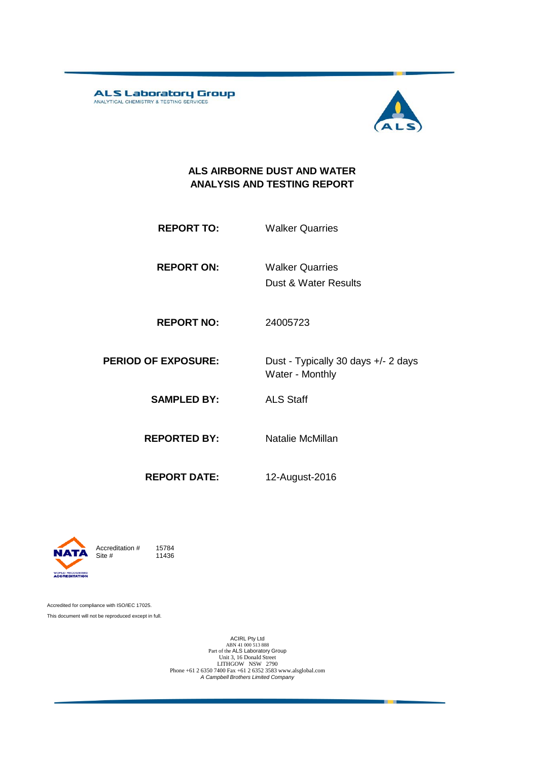ALS Laboratory Group



#### **ALS AIRBORNE DUST AND WATER ANALYSIS AND TESTING REPORT**

**REPORT TO:** Walker Quarries

**REPORT ON:** Dust & Water Results Walker Quarries

**REPORT NO:** 24005723

**PERIOD OF EXPOSURE:** Dust - Typically 30 days +/- 2 days Water - Monthly

**SAMPLED BY:** ALS Staff

**REPORTED BY:** Natalie McMillan

**REPORT DATE:** 12-August-2016

Accreditation  $\#$  15784<br>Site  $\#$  11436 11436

Accredited for compliance with ISO/IEC 17025. This document will not be reproduced except in full.

D RECOGNISED<br>**REDITATION** 

ACIRL Pty Ltd<br>
ABN 41 000 513 888<br>
Part of the ALS Laboratory Group<br>
Unit 3, 16 Donald Street LITHGOW NSW 2790 Phone +61 2 6350 7400 Fax +61 2 6352 3583 www.alsglobal.com *A Campbell Brothers Limited Company*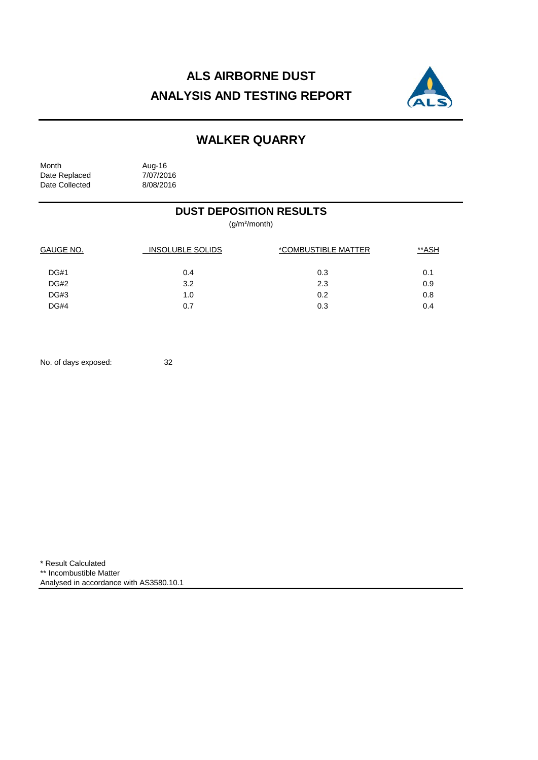# **ALS AIRBORNE DUST ANALYSIS AND TESTING REPORT**



## **WALKER QUARRY**

| Month          | Aug-16    |
|----------------|-----------|
| Date Replaced  | 7/07/2016 |
| Date Collected | 8/08/2016 |

#### **DUST DEPOSITION RESULTS**

(g/m²/month)

| <b>GAUGE NO.</b> | <b>INSOLUBLE SOLIDS</b> | *COMBUSTIBLE MATTER | **ASH |
|------------------|-------------------------|---------------------|-------|
| DG#1             | 0.4                     | 0.3                 | 0.1   |
| DG#2             | 3.2                     | 2.3                 | 0.9   |
| DG#3             | 1.0                     | 0.2                 | 0.8   |
| DG#4             | 0.7                     | 0.3                 | 0.4   |

No. of days exposed: 32

\* Result Calculated \*\* Incombustible Matter Analysed in accordance with AS3580.10.1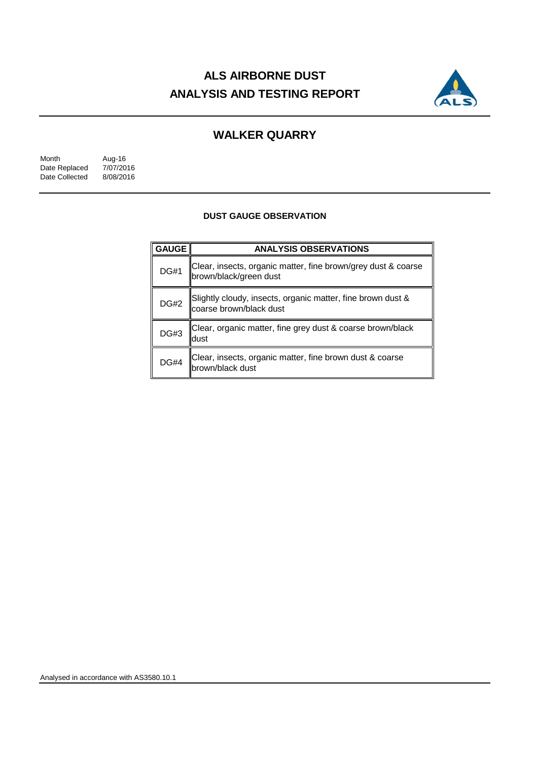# **ALS AIRBORNE DUST ANALYSIS AND TESTING REPORT**



### **WALKER QUARRY**

Month Aug-16<br>Date Replaced 7/07/2016 Date Replaced 7/07/2016<br>Date Collected 8/08/2016 Date Collected

#### **DUST GAUGE OBSERVATION**

| <b>GAUGE</b> | <b>ANALYSIS OBSERVATIONS</b>                                                            |  |  |  |  |
|--------------|-----------------------------------------------------------------------------------------|--|--|--|--|
| <b>DG#1</b>  | Clear, insects, organic matter, fine brown/grey dust & coarse<br>brown/black/green dust |  |  |  |  |
| <b>DG#2</b>  | Slightly cloudy, insects, organic matter, fine brown dust &<br>coarse brown/black dust  |  |  |  |  |
| <b>DG#3</b>  | Clear, organic matter, fine grey dust & coarse brown/black<br>dust                      |  |  |  |  |
| <b>DG#4</b>  | Clear, insects, organic matter, fine brown dust & coarse<br>brown/black dust            |  |  |  |  |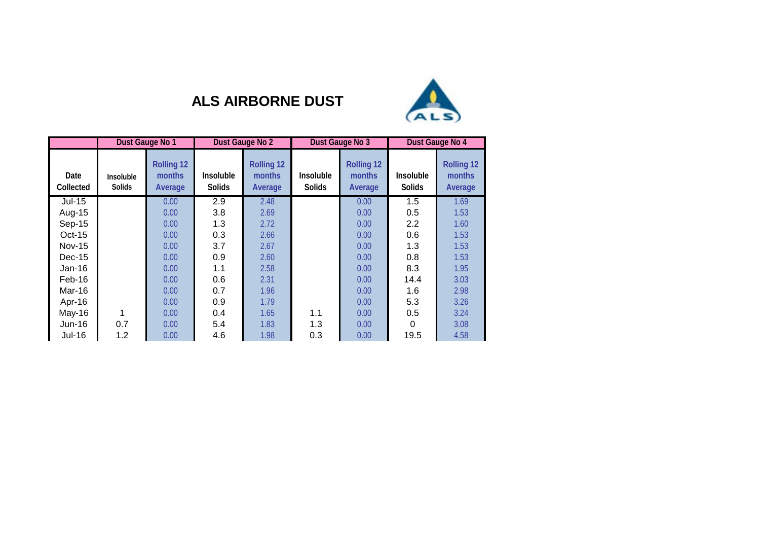

## **ALS AIRBORNE DUST**

|                   |                                   | Dust Gauge No 1                               | Dust Gauge No 2                   |                                        | Dust Gauge No 3                   |                                        | Dust Gauge No 4            |                                        |
|-------------------|-----------------------------------|-----------------------------------------------|-----------------------------------|----------------------------------------|-----------------------------------|----------------------------------------|----------------------------|----------------------------------------|
| Date<br>Collected | <b>Insoluble</b><br><b>Solids</b> | <b>Rolling 12</b><br><b>months</b><br>Average | <b>Insoluble</b><br><b>Solids</b> | <b>Rolling 12</b><br>months<br>Average | <b>Insoluble</b><br><b>Solids</b> | <b>Rolling 12</b><br>months<br>Average | Insoluble<br><b>Solids</b> | <b>Rolling 12</b><br>months<br>Average |
| $Jul-15$          |                                   | 0.00                                          | 2.9                               | 2.48                                   |                                   | 0.00                                   | 1.5                        | 1.69                                   |
| Aug-15            |                                   | 0.00                                          | 3.8                               | 2.69                                   |                                   | 0.00                                   | 0.5                        | 1.53                                   |
| Sep-15            |                                   | 0.00                                          | 1.3                               | 2.72                                   |                                   | 0.00                                   | 2.2                        | 1.60                                   |
| $Oct-15$          |                                   | 0.00                                          | 0.3                               | 2.66                                   |                                   | 0.00                                   | 0.6                        | 1.53                                   |
| <b>Nov-15</b>     |                                   | 0.00                                          | 3.7                               | 2.67                                   |                                   | 0.00                                   | 1.3                        | 1.53                                   |
| $Dec-15$          |                                   | 0.00                                          | 0.9                               | 2.60                                   |                                   | 0.00                                   | 0.8                        | 1.53                                   |
| $Jan-16$          |                                   | 0.00                                          | 1.1                               | 2.58                                   |                                   | 0.00                                   | 8.3                        | 1.95                                   |
| Feb-16            |                                   | 0.00                                          | 0.6                               | 2.31                                   |                                   | 0.00                                   | 14.4                       | 3.03                                   |
| Mar-16            |                                   | 0.00                                          | 0.7                               | 1.96                                   |                                   | 0.00                                   | 1.6                        | 2.98                                   |
| Apr-16            |                                   | 0.00                                          | 0.9                               | 1.79                                   |                                   | 0.00                                   | 5.3                        | 3.26                                   |
| May-16            |                                   | 0.00                                          | 0.4                               | 1.65                                   | 1.1                               | 0.00                                   | 0.5                        | 3.24                                   |
| $Jun-16$          | 0.7                               | 0.00                                          | 5.4                               | 1.83                                   | 1.3                               | 0.00                                   | $\Omega$                   | 3.08                                   |
| Jul-16            | 1.2                               | 0.00                                          | 4.6                               | 1.98                                   | 0.3                               | 0.00                                   | 19.5                       | 4.58                                   |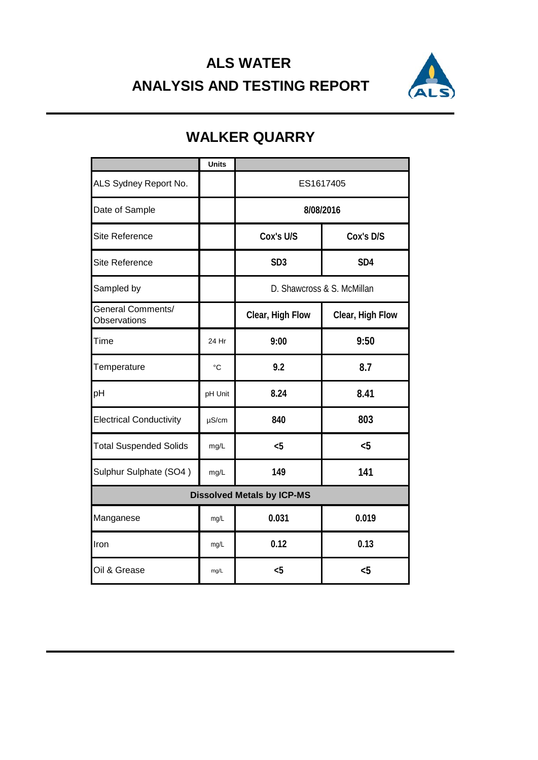# **ALS WATER ANALYSIS AND TESTING REPORT**



|                                          | <b>Units</b>    |                            |                  |  |  |
|------------------------------------------|-----------------|----------------------------|------------------|--|--|
| ALS Sydney Report No.                    |                 | ES1617405                  |                  |  |  |
| Date of Sample                           |                 | 8/08/2016                  |                  |  |  |
| <b>Site Reference</b>                    |                 | Cox's U/S                  | Cox's D/S        |  |  |
| <b>Site Reference</b>                    |                 | SD <sub>3</sub>            | SD <sub>4</sub>  |  |  |
| Sampled by                               |                 | D. Shawcross & S. McMillan |                  |  |  |
| <b>General Comments/</b><br>Observations |                 | Clear, High Flow           | Clear, High Flow |  |  |
| Time                                     | 24 Hr           | 9:00                       | 9:50             |  |  |
| Temperature                              | $\rm ^{\circ}C$ | 9.2                        | 8.7              |  |  |
| pH                                       | pH Unit         | 8.24                       | 8.41             |  |  |
| <b>Electrical Conductivity</b>           | $\mu$ S/cm      | 840                        | 803              |  |  |
| <b>Total Suspended Solids</b>            | mg/L            | < 5                        | $5$              |  |  |
| Sulphur Sulphate (SO4)                   | mg/L            | 149                        | 141              |  |  |
| <b>Dissolved Metals by ICP-MS</b>        |                 |                            |                  |  |  |
| Manganese                                | mg/L            | 0.031                      | 0.019            |  |  |
| Iron                                     | mg/L            | 0.12                       | 0.13             |  |  |
| Oil & Grease                             | mg/L            | $5$                        | $5$              |  |  |

## **WALKER QUARRY**